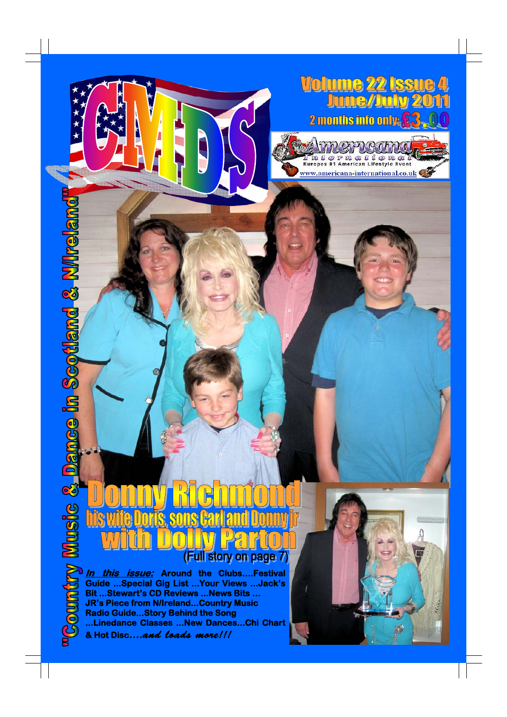